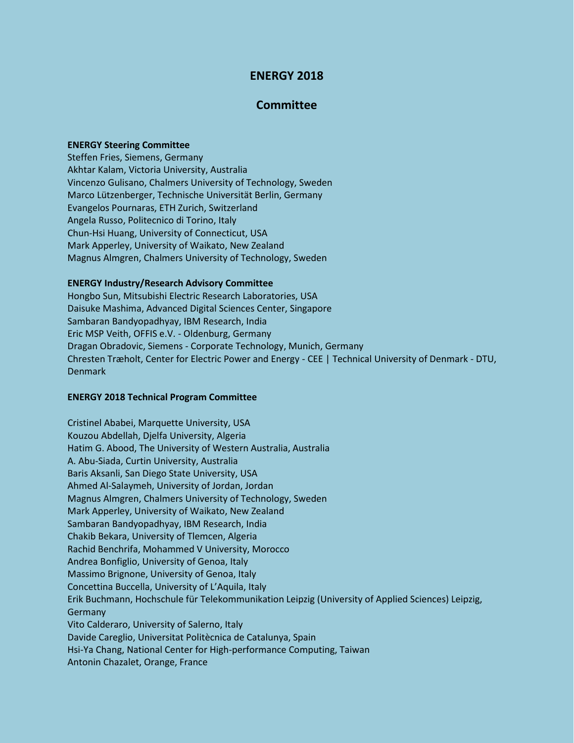# **ENERGY 2018**

## **Committee**

### **ENERGY Steering Committee**

Steffen Fries, Siemens, Germany Akhtar Kalam, Victoria University, Australia Vincenzo Gulisano, Chalmers University of Technology, Sweden Marco Lützenberger, Technische Universität Berlin, Germany Evangelos Pournaras, ETH Zurich, Switzerland Angela Russo, Politecnico di Torino, Italy Chun-Hsi Huang, University of Connecticut, USA Mark Apperley, University of Waikato, New Zealand Magnus Almgren, Chalmers University of Technology, Sweden

#### **ENERGY Industry/Research Advisory Committee**

Hongbo Sun, Mitsubishi Electric Research Laboratories, USA Daisuke Mashima, Advanced Digital Sciences Center, Singapore Sambaran Bandyopadhyay, IBM Research, India Eric MSP Veith, OFFIS e.V. - Oldenburg, Germany Dragan Obradovic, Siemens - Corporate Technology, Munich, Germany Chresten Træholt, Center for Electric Power and Energy - CEE | Technical University of Denmark - DTU, Denmark

### **ENERGY 2018 Technical Program Committee**

Cristinel Ababei, Marquette University, USA Kouzou Abdellah, Djelfa University, Algeria Hatim G. Abood, The University of Western Australia, Australia A. Abu-Siada, Curtin University, Australia Baris Aksanli, San Diego State University, USA Ahmed Al-Salaymeh, University of Jordan, Jordan Magnus Almgren, Chalmers University of Technology, Sweden Mark Apperley, University of Waikato, New Zealand Sambaran Bandyopadhyay, IBM Research, India Chakib Bekara, University of Tlemcen, Algeria Rachid Benchrifa, Mohammed V University, Morocco Andrea Bonfiglio, University of Genoa, Italy Massimo Brignone, University of Genoa, Italy Concettina Buccella, University of L'Aquila, Italy Erik Buchmann, Hochschule für Telekommunikation Leipzig (University of Applied Sciences) Leipzig, Germany Vito Calderaro, University of Salerno, Italy Davide Careglio, Universitat Politècnica de Catalunya, Spain Hsi-Ya Chang, National Center for High-performance Computing, Taiwan Antonin Chazalet, Orange, France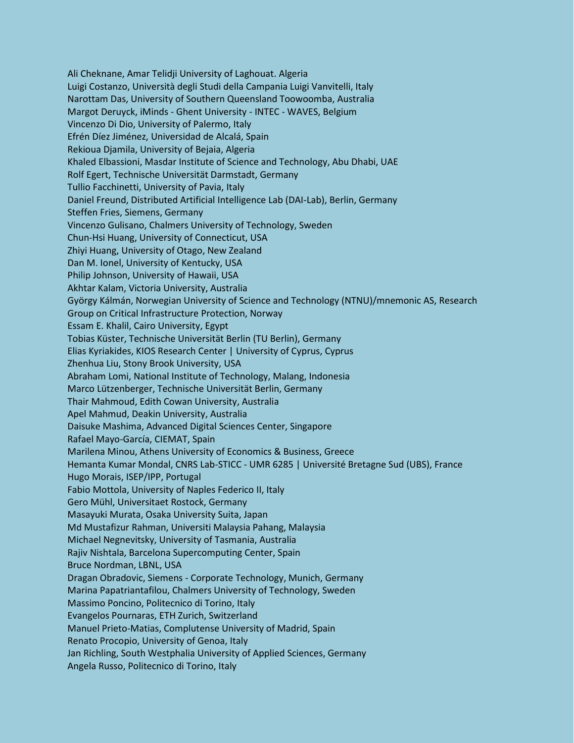Ali Cheknane, Amar Telidji University of Laghouat. Algeria Luigi Costanzo, Università degli Studi della Campania Luigi Vanvitelli, Italy Narottam Das, University of Southern Queensland Toowoomba, Australia Margot Deruyck, iMinds - Ghent University - INTEC - WAVES, Belgium Vincenzo Di Dio, University of Palermo, Italy Efrén Díez Jiménez, Universidad de Alcalá, Spain Rekioua Djamila, University of Bejaia, Algeria Khaled Elbassioni, Masdar Institute of Science and Technology, Abu Dhabi, UAE Rolf Egert, Technische Universität Darmstadt, Germany Tullio Facchinetti, University of Pavia, Italy Daniel Freund, Distributed Artificial Intelligence Lab (DAI-Lab), Berlin, Germany Steffen Fries, Siemens, Germany Vincenzo Gulisano, Chalmers University of Technology, Sweden Chun-Hsi Huang, University of Connecticut, USA Zhiyi Huang, University of Otago, New Zealand Dan M. Ionel, University of Kentucky, USA Philip Johnson, University of Hawaii, USA Akhtar Kalam, Victoria University, Australia György Kálmán, Norwegian University of Science and Technology (NTNU)/mnemonic AS, Research Group on Critical Infrastructure Protection, Norway Essam E. Khalil, Cairo University, Egypt Tobias Küster, Technische Universität Berlin (TU Berlin), Germany Elias Kyriakides, KIOS Research Center | University of Cyprus, Cyprus Zhenhua Liu, Stony Brook University, USA Abraham Lomi, National Institute of Technology, Malang, Indonesia Marco Lützenberger, Technische Universität Berlin, Germany Thair Mahmoud, Edith Cowan University, Australia Apel Mahmud, Deakin University, Australia Daisuke Mashima, Advanced Digital Sciences Center, Singapore Rafael Mayo-García, CIEMAT, Spain Marilena Minou, Athens University of Economics & Business, Greece Hemanta Kumar Mondal, CNRS Lab-STICC - UMR 6285 | Université Bretagne Sud (UBS), France Hugo Morais, ISEP/IPP, Portugal Fabio Mottola, University of Naples Federico II, Italy Gero Mühl, Universitaet Rostock, Germany Masayuki Murata, Osaka University Suita, Japan Md Mustafizur Rahman, Universiti Malaysia Pahang, Malaysia Michael Negnevitsky, University of Tasmania, Australia Rajiv Nishtala, Barcelona Supercomputing Center, Spain Bruce Nordman, LBNL, USA Dragan Obradovic, Siemens - Corporate Technology, Munich, Germany Marina Papatriantafilou, Chalmers University of Technology, Sweden Massimo Poncino, Politecnico di Torino, Italy Evangelos Pournaras, ETH Zurich, Switzerland Manuel Prieto-Matias, Complutense University of Madrid, Spain Renato Procopio, University of Genoa, Italy Jan Richling, South Westphalia University of Applied Sciences, Germany Angela Russo, Politecnico di Torino, Italy